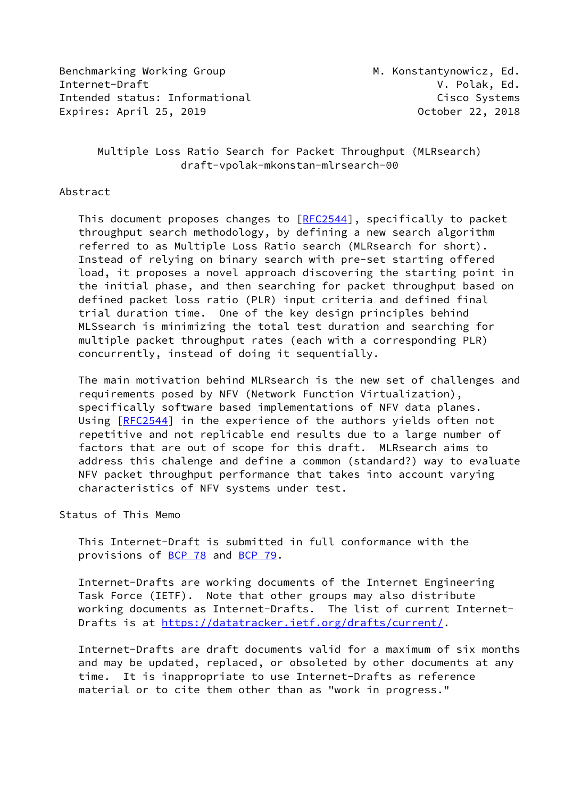Benchmarking Working Group Manuel M. Konstantynowicz, Ed. Internet-Draft V. Polak, Ed. Intended status: Informational Cisco Systems Expires: April 25, 2019 October 22, 2018

## Multiple Loss Ratio Search for Packet Throughput (MLRsearch) draft-vpolak-mkonstan-mlrsearch-00

#### Abstract

This document proposes changes to [[RFC2544](https://datatracker.ietf.org/doc/pdf/rfc2544)], specifically to packet throughput search methodology, by defining a new search algorithm referred to as Multiple Loss Ratio search (MLRsearch for short). Instead of relying on binary search with pre-set starting offered load, it proposes a novel approach discovering the starting point in the initial phase, and then searching for packet throughput based on defined packet loss ratio (PLR) input criteria and defined final trial duration time. One of the key design principles behind MLSsearch is minimizing the total test duration and searching for multiple packet throughput rates (each with a corresponding PLR) concurrently, instead of doing it sequentially.

 The main motivation behind MLRsearch is the new set of challenges and requirements posed by NFV (Network Function Virtualization), specifically software based implementations of NFV data planes. Using [[RFC2544](https://datatracker.ietf.org/doc/pdf/rfc2544)] in the experience of the authors yields often not repetitive and not replicable end results due to a large number of factors that are out of scope for this draft. MLRsearch aims to address this chalenge and define a common (standard?) way to evaluate NFV packet throughput performance that takes into account varying characteristics of NFV systems under test.

#### Status of This Memo

 This Internet-Draft is submitted in full conformance with the provisions of <u>BCP 78</u> and <u>BCP 79</u>.

 Internet-Drafts are working documents of the Internet Engineering Task Force (IETF). Note that other groups may also distribute working documents as Internet-Drafts. The list of current Internet- Drafts is at<https://datatracker.ietf.org/drafts/current/>.

 Internet-Drafts are draft documents valid for a maximum of six months and may be updated, replaced, or obsoleted by other documents at any time. It is inappropriate to use Internet-Drafts as reference material or to cite them other than as "work in progress."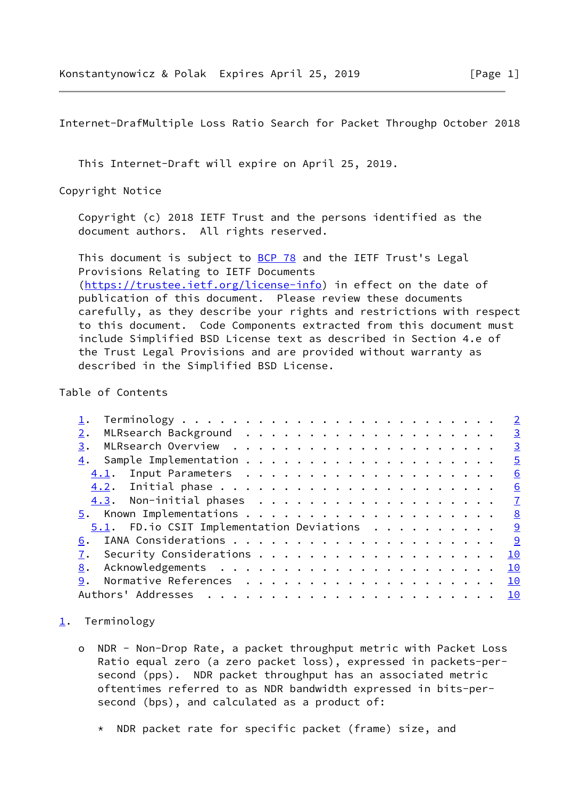<span id="page-1-1"></span>Internet-DrafMultiple Loss Ratio Search for Packet Throughp October 2018

This Internet-Draft will expire on April 25, 2019.

Copyright Notice

 Copyright (c) 2018 IETF Trust and the persons identified as the document authors. All rights reserved.

This document is subject to **[BCP 78](https://datatracker.ietf.org/doc/pdf/bcp78)** and the IETF Trust's Legal Provisions Relating to IETF Documents [\(https://trustee.ietf.org/license-info](https://trustee.ietf.org/license-info)) in effect on the date of publication of this document. Please review these documents carefully, as they describe your rights and restrictions with respect to this document. Code Components extracted from this document must include Simplified BSD License text as described in Section 4.e of the Trust Legal Provisions and are provided without warranty as described in the Simplified BSD License.

Table of Contents

|                                               | $\overline{\mathbf{3}}$ |
|-----------------------------------------------|-------------------------|
| 3.                                            | $\frac{3}{2}$           |
|                                               | $\overline{5}$          |
|                                               | 6                       |
|                                               | 6                       |
|                                               |                         |
|                                               |                         |
| $5.1$ . FD. io CSIT Implementation Deviations | <u>ୁ</u>                |
| 6.                                            |                         |
|                                               | 10                      |
| 8.                                            | 10                      |
|                                               | 10                      |
|                                               |                         |

### <span id="page-1-0"></span>[1](#page-1-0). Terminology

- o NDR Non-Drop Rate, a packet throughput metric with Packet Loss Ratio equal zero (a zero packet loss), expressed in packets-per second (pps). NDR packet throughput has an associated metric oftentimes referred to as NDR bandwidth expressed in bits-per second (bps), and calculated as a product of:
	- \* NDR packet rate for specific packet (frame) size, and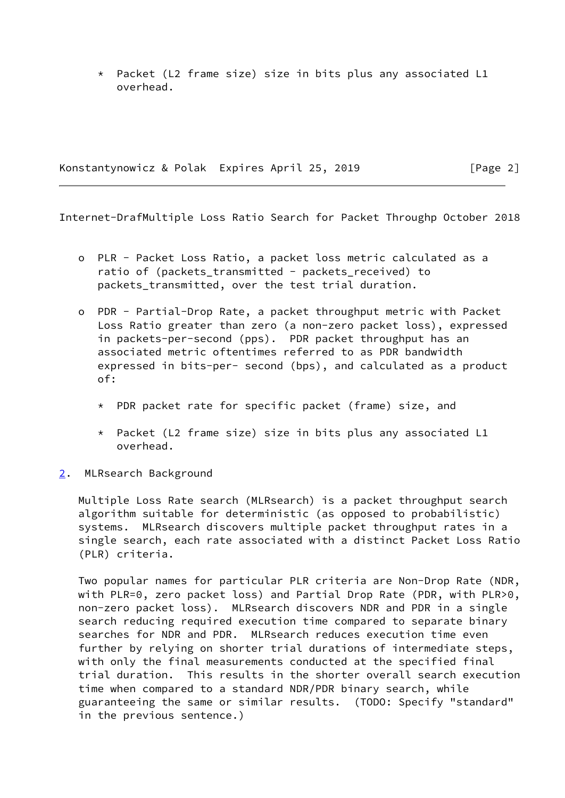\* Packet (L2 frame size) size in bits plus any associated L1 overhead.

Konstantynowicz & Polak Expires April 25, 2019 [Page 2]

<span id="page-2-1"></span>Internet-DrafMultiple Loss Ratio Search for Packet Throughp October 2018

- o PLR Packet Loss Ratio, a packet loss metric calculated as a ratio of (packets\_transmitted - packets\_received) to packets\_transmitted, over the test trial duration.
- o PDR Partial-Drop Rate, a packet throughput metric with Packet Loss Ratio greater than zero (a non-zero packet loss), expressed in packets-per-second (pps). PDR packet throughput has an associated metric oftentimes referred to as PDR bandwidth expressed in bits-per- second (bps), and calculated as a product of:
	- \* PDR packet rate for specific packet (frame) size, and
	- \* Packet (L2 frame size) size in bits plus any associated L1 overhead.
- <span id="page-2-0"></span>[2](#page-2-0). MLRsearch Background

 Multiple Loss Rate search (MLRsearch) is a packet throughput search algorithm suitable for deterministic (as opposed to probabilistic) systems. MLRsearch discovers multiple packet throughput rates in a single search, each rate associated with a distinct Packet Loss Ratio (PLR) criteria.

 Two popular names for particular PLR criteria are Non-Drop Rate (NDR, with PLR=0, zero packet loss) and Partial Drop Rate (PDR, with PLR>0, non-zero packet loss). MLRsearch discovers NDR and PDR in a single search reducing required execution time compared to separate binary searches for NDR and PDR. MLRsearch reduces execution time even further by relying on shorter trial durations of intermediate steps, with only the final measurements conducted at the specified final trial duration. This results in the shorter overall search execution time when compared to a standard NDR/PDR binary search, while guaranteeing the same or similar results. (TODO: Specify "standard" in the previous sentence.)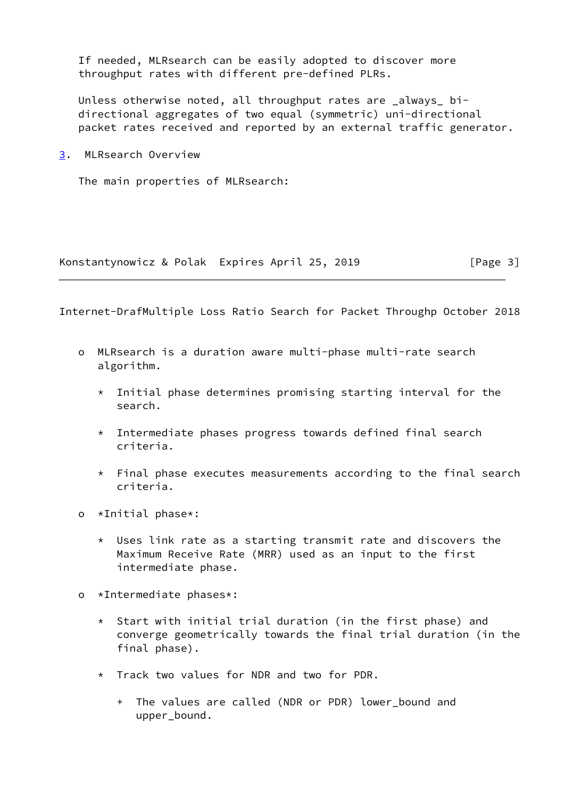If needed, MLRsearch can be easily adopted to discover more throughput rates with different pre-defined PLRs.

 Unless otherwise noted, all throughput rates are \_always\_ bi directional aggregates of two equal (symmetric) uni-directional packet rates received and reported by an external traffic generator.

<span id="page-3-0"></span>[3](#page-3-0). MLRsearch Overview

The main properties of MLRsearch:

Konstantynowicz & Polak Expires April 25, 2019 [Page 3]

Internet-DrafMultiple Loss Ratio Search for Packet Throughp October 2018

- o MLRsearch is a duration aware multi-phase multi-rate search algorithm.
	- $*$  Initial phase determines promising starting interval for the search.
	- \* Intermediate phases progress towards defined final search criteria.
	- \* Final phase executes measurements according to the final search criteria.
- o \*Initial phase\*:
	- \* Uses link rate as a starting transmit rate and discovers the Maximum Receive Rate (MRR) used as an input to the first intermediate phase.
- o \*Intermediate phases\*:
	- \* Start with initial trial duration (in the first phase) and converge geometrically towards the final trial duration (in the final phase).
	- \* Track two values for NDR and two for PDR.
		- + The values are called (NDR or PDR) lower\_bound and upper\_bound.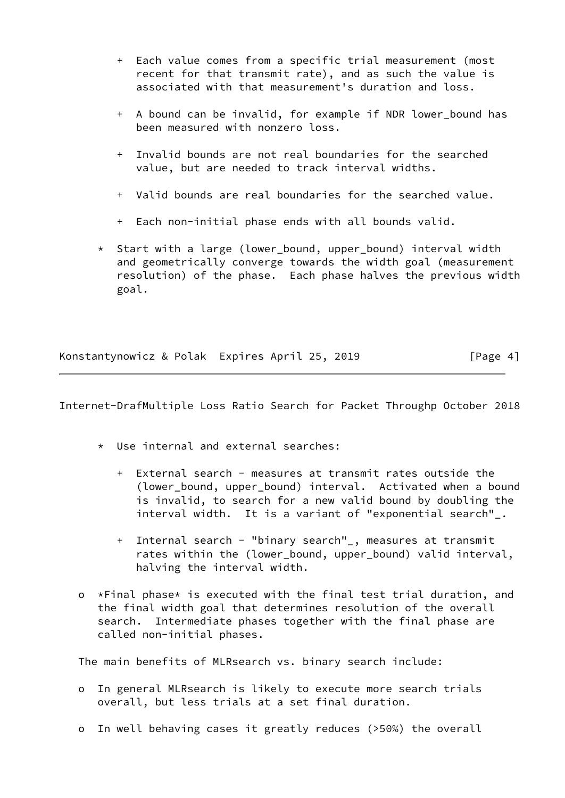- + Each value comes from a specific trial measurement (most recent for that transmit rate), and as such the value is associated with that measurement's duration and loss.
- + A bound can be invalid, for example if NDR lower\_bound has been measured with nonzero loss.
- + Invalid bounds are not real boundaries for the searched value, but are needed to track interval widths.
- + Valid bounds are real boundaries for the searched value.
- + Each non-initial phase ends with all bounds valid.
- \* Start with a large (lower\_bound, upper\_bound) interval width and geometrically converge towards the width goal (measurement resolution) of the phase. Each phase halves the previous width goal.

Konstantynowicz & Polak Expires April 25, 2019 [Page 4]

<span id="page-4-0"></span>Internet-DrafMultiple Loss Ratio Search for Packet Throughp October 2018

- \* Use internal and external searches:
	- + External search measures at transmit rates outside the (lower\_bound, upper\_bound) interval. Activated when a bound is invalid, to search for a new valid bound by doubling the interval width. It is a variant of "exponential search"\_.
	- + Internal search "binary search"\_, measures at transmit rates within the (lower\_bound, upper\_bound) valid interval, halving the interval width.
- o \*Final phase\* is executed with the final test trial duration, and the final width goal that determines resolution of the overall search. Intermediate phases together with the final phase are called non-initial phases.

The main benefits of MLRsearch vs. binary search include:

- o In general MLRsearch is likely to execute more search trials overall, but less trials at a set final duration.
- o In well behaving cases it greatly reduces (>50%) the overall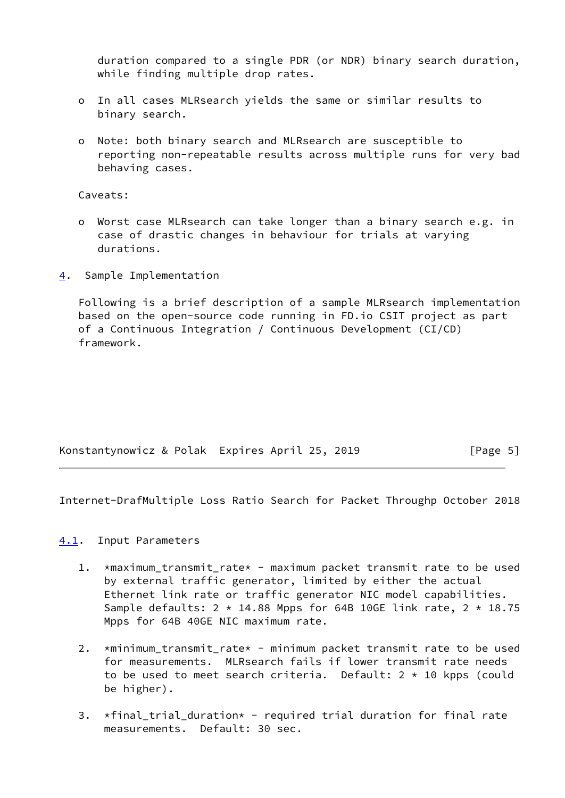duration compared to a single PDR (or NDR) binary search duration, while finding multiple drop rates.

- o In all cases MLRsearch yields the same or similar results to binary search.
- o Note: both binary search and MLRsearch are susceptible to reporting non-repeatable results across multiple runs for very bad behaving cases.

Caveats:

- o Worst case MLRsearch can take longer than a binary search e.g. in case of drastic changes in behaviour for trials at varying durations.
- <span id="page-5-0"></span>[4](#page-5-0). Sample Implementation

 Following is a brief description of a sample MLRsearch implementation based on the open-source code running in FD.io CSIT project as part of a Continuous Integration / Continuous Development (CI/CD) framework.

| Konstantynowicz & Polak Expires April 25, 2019 | [Page 5] |
|------------------------------------------------|----------|
|------------------------------------------------|----------|

<span id="page-5-2"></span>Internet-DrafMultiple Loss Ratio Search for Packet Throughp October 2018

### <span id="page-5-1"></span>[4.1](#page-5-1). Input Parameters

- 1. \*maximum\_transmit\_rate\* maximum packet transmit rate to be used by external traffic generator, limited by either the actual Ethernet link rate or traffic generator NIC model capabilities. Sample defaults:  $2 \times 14.88$  Mpps for 64B 10GE link rate,  $2 \times 18.75$ Mpps for 64B 40GE NIC maximum rate.
- 2. \*minimum\_transmit\_rate\* minimum packet transmit rate to be used for measurements. MLRsearch fails if lower transmit rate needs to be used to meet search criteria. Default:  $2 \times 10$  kpps (could be higher).
- 3. \*final\_trial\_duration\* required trial duration for final rate measurements. Default: 30 sec.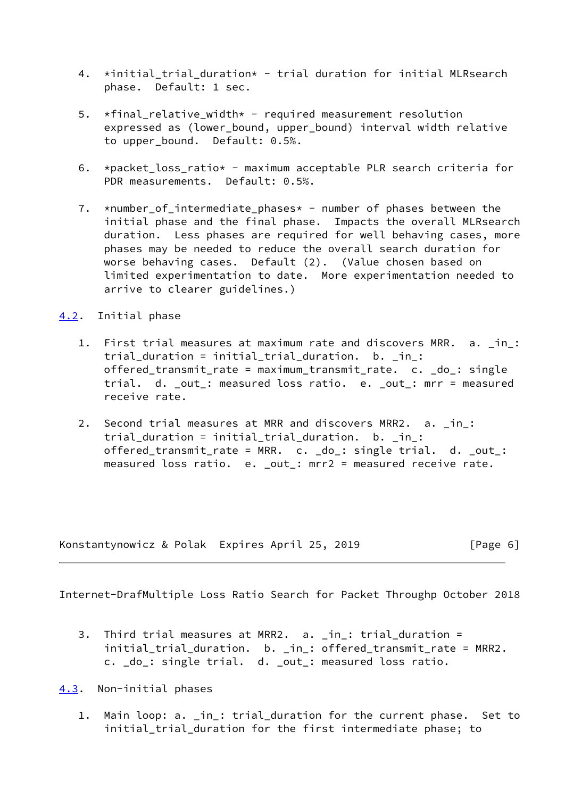- 4. \*initial\_trial\_duration\* trial duration for initial MLRsearch phase. Default: 1 sec.
- 5.  $\star$ final\_relative\_width $\star$  required measurement resolution expressed as (lower\_bound, upper\_bound) interval width relative to upper bound. Default: 0.5%.
- 6. \*packet\_loss\_ratio\* maximum acceptable PLR search criteria for PDR measurements. Default: 0.5%.
- 7. \*number\_of\_intermediate\_phases\* number of phases between the initial phase and the final phase. Impacts the overall MLRsearch duration. Less phases are required for well behaving cases, more phases may be needed to reduce the overall search duration for worse behaving cases. Default (2). (Value chosen based on limited experimentation to date. More experimentation needed to arrive to clearer guidelines.)

## <span id="page-6-0"></span>[4.2](#page-6-0). Initial phase

- 1. First trial measures at maximum rate and discovers MRR. a. \_in\_: trial duration = initial\_trial\_duration. b. \_in\_: offered\_transmit\_rate = maximum\_transmit\_rate. c. \_do\_: single trial. d. \_out\_: measured loss ratio. e. \_out\_: mrr = measured receive rate.
- 2. Second trial measures at MRR and discovers MRR2. a. \_in\_: trial\_duration = initial\_trial\_duration. b. \_in\_: offered\_transmit\_rate = MRR. c. \_do\_: single trial. d. \_out\_: measured loss ratio. e. \_out\_: mrr2 = measured receive rate.

Konstantynowicz & Polak Expires April 25, 2019 [Page 6]

<span id="page-6-2"></span>Internet-DrafMultiple Loss Ratio Search for Packet Throughp October 2018

 3. Third trial measures at MRR2. a. \_in\_: trial\_duration = initial\_trial\_duration. b. \_in\_: offered\_transmit\_rate = MRR2. c. \_do\_: single trial. d. \_out\_: measured loss ratio.

<span id="page-6-1"></span>[4.3](#page-6-1). Non-initial phases

 1. Main loop: a. \_in\_: trial\_duration for the current phase. Set to initial\_trial\_duration for the first intermediate phase; to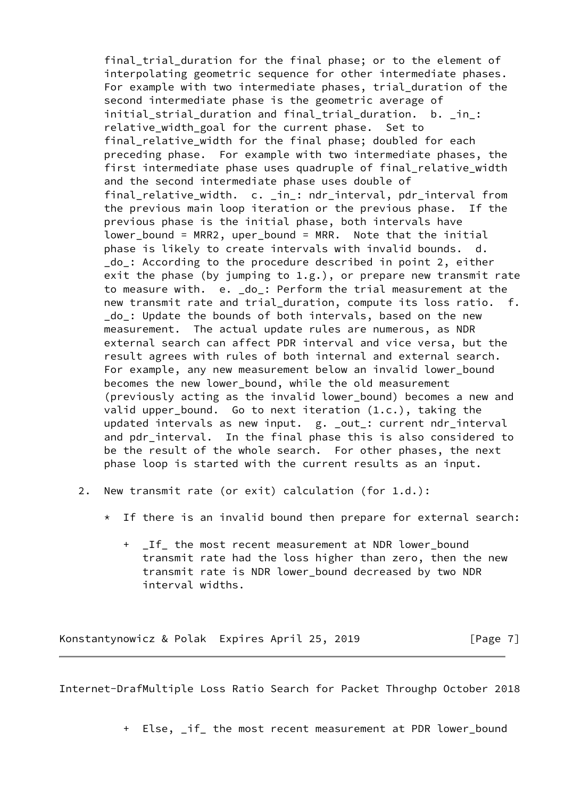final trial duration for the final phase; or to the element of interpolating geometric sequence for other intermediate phases. For example with two intermediate phases, trial duration of the second intermediate phase is the geometric average of initial strial duration and final trial duration. b. in : relative\_width\_goal for the current phase. Set to final relative width for the final phase; doubled for each preceding phase. For example with two intermediate phases, the first intermediate phase uses quadruple of final\_relative\_width and the second intermediate phase uses double of final\_relative\_width. c. \_in\_: ndr\_interval, pdr\_interval from the previous main loop iteration or the previous phase. If the previous phase is the initial phase, both intervals have lower\_bound = MRR2, uper\_bound = MRR. Note that the initial phase is likely to create intervals with invalid bounds. d. do : According to the procedure described in point 2, either exit the phase (by jumping to  $1.g.$ ), or prepare new transmit rate to measure with. e. \_do\_: Perform the trial measurement at the new transmit rate and trial duration, compute its loss ratio. f. \_do\_: Update the bounds of both intervals, based on the new measurement. The actual update rules are numerous, as NDR external search can affect PDR interval and vice versa, but the result agrees with rules of both internal and external search. For example, any new measurement below an invalid lower\_bound becomes the new lower\_bound, while the old measurement (previously acting as the invalid lower\_bound) becomes a new and valid upper\_bound. Go to next iteration (1.c.), taking the updated intervals as new input. g. \_out\_: current ndr\_interval and pdr\_interval. In the final phase this is also considered to be the result of the whole search. For other phases, the next phase loop is started with the current results as an input.

- 2. New transmit rate (or exit) calculation (for 1.d.):
	- \* If there is an invalid bound then prepare for external search:
		- + \_If\_ the most recent measurement at NDR lower\_bound transmit rate had the loss higher than zero, then the new transmit rate is NDR lower\_bound decreased by two NDR interval widths.

Konstantynowicz & Polak Expires April 25, 2019 [Page 7]

<span id="page-7-0"></span>Internet-DrafMultiple Loss Ratio Search for Packet Throughp October 2018

+ Else, \_if\_ the most recent measurement at PDR lower\_bound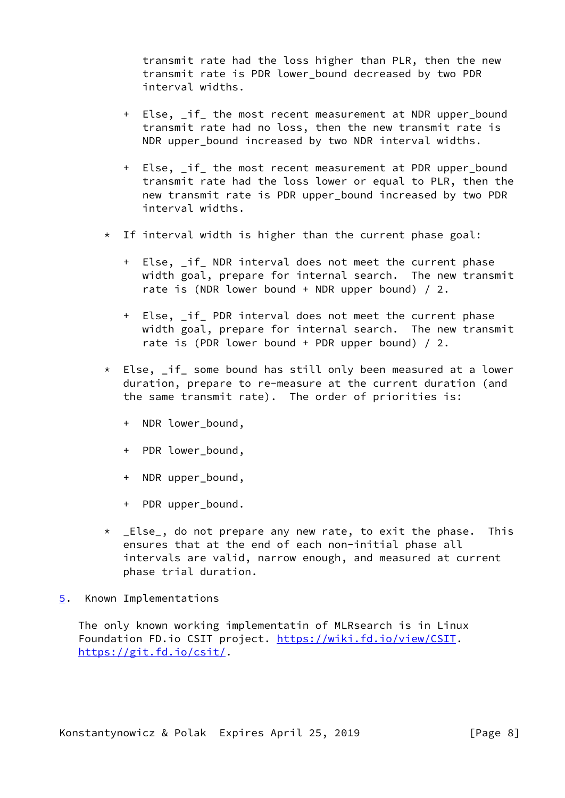transmit rate had the loss higher than PLR, then the new transmit rate is PDR lower\_bound decreased by two PDR interval widths.

- + Else, \_if\_ the most recent measurement at NDR upper\_bound transmit rate had no loss, then the new transmit rate is NDR upper bound increased by two NDR interval widths.
- + Else, \_if\_ the most recent measurement at PDR upper\_bound transmit rate had the loss lower or equal to PLR, then the new transmit rate is PDR upper\_bound increased by two PDR interval widths.
- \* If interval width is higher than the current phase goal:
	- + Else, if NDR interval does not meet the current phase width goal, prepare for internal search. The new transmit rate is (NDR lower bound + NDR upper bound)  $/2$ .
	- + Else, \_if\_ PDR interval does not meet the current phase width goal, prepare for internal search. The new transmit rate is (PDR lower bound + PDR upper bound)  $/2$ .
- \* Else, \_if\_ some bound has still only been measured at a lower duration, prepare to re-measure at the current duration (and the same transmit rate). The order of priorities is:
	- + NDR lower\_bound,
	- + PDR lower\_bound,
	- + NDR upper\_bound,
	- + PDR upper\_bound.
- \* \_Else\_, do not prepare any new rate, to exit the phase. This ensures that at the end of each non-initial phase all intervals are valid, narrow enough, and measured at current phase trial duration.
- <span id="page-8-0"></span>[5](#page-8-0). Known Implementations

 The only known working implementatin of MLRsearch is in Linux Foundation FD.io CSIT project. [https://wiki.fd.io/view/CSIT.](https://wiki.fd.io/view/CSIT) <https://git.fd.io/csit/>.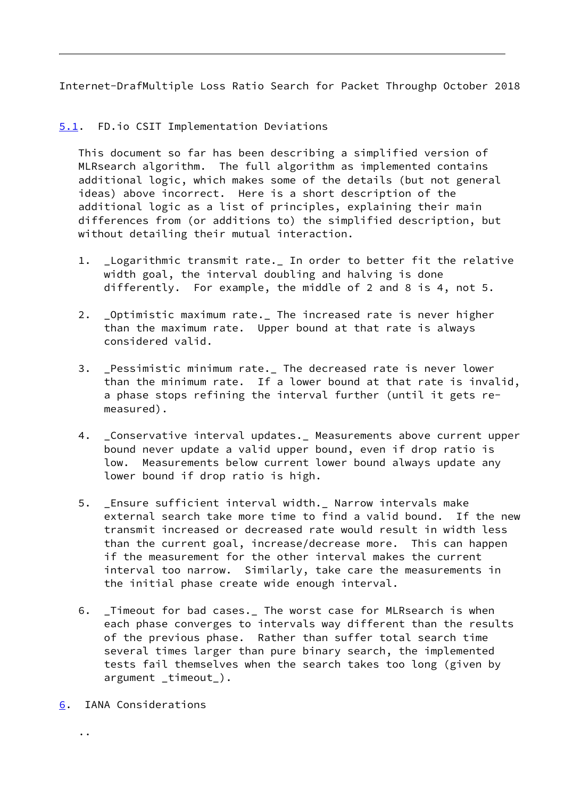<span id="page-9-1"></span>Internet-DrafMultiple Loss Ratio Search for Packet Throughp October 2018

# <span id="page-9-0"></span>[5.1](#page-9-0). FD.io CSIT Implementation Deviations

 This document so far has been describing a simplified version of MLRsearch algorithm. The full algorithm as implemented contains additional logic, which makes some of the details (but not general ideas) above incorrect. Here is a short description of the additional logic as a list of principles, explaining their main differences from (or additions to) the simplified description, but without detailing their mutual interaction.

- 1. \_Logarithmic transmit rate.\_ In order to better fit the relative width goal, the interval doubling and halving is done differently. For example, the middle of 2 and 8 is 4, not 5.
- 2. \_Optimistic maximum rate.\_ The increased rate is never higher than the maximum rate. Upper bound at that rate is always considered valid.
- 3. \_Pessimistic minimum rate.\_ The decreased rate is never lower than the minimum rate. If a lower bound at that rate is invalid, a phase stops refining the interval further (until it gets re measured).
- 4. \_Conservative interval updates.\_ Measurements above current upper bound never update a valid upper bound, even if drop ratio is low. Measurements below current lower bound always update any lower bound if drop ratio is high.
- 5. Ensure sufficient interval width.\_ Narrow intervals make external search take more time to find a valid bound. If the new transmit increased or decreased rate would result in width less than the current goal, increase/decrease more. This can happen if the measurement for the other interval makes the current interval too narrow. Similarly, take care the measurements in the initial phase create wide enough interval.
- 6. \_Timeout for bad cases.\_ The worst case for MLRsearch is when each phase converges to intervals way different than the results of the previous phase. Rather than suffer total search time several times larger than pure binary search, the implemented tests fail themselves when the search takes too long (given by argument \_timeout\_).
- <span id="page-9-2"></span>[6](#page-9-2). IANA Considerations

..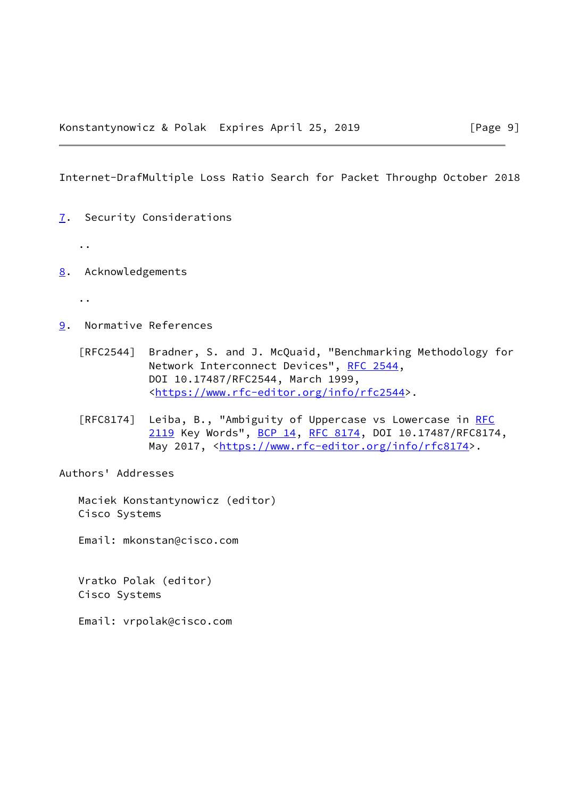<span id="page-10-1"></span>Internet-DrafMultiple Loss Ratio Search for Packet Throughp October 2018

- <span id="page-10-0"></span>[7](#page-10-0). Security Considerations
	- ..
- <span id="page-10-2"></span>[8](#page-10-2). Acknowledgements
	- ..
- <span id="page-10-3"></span>[9](#page-10-3). Normative References
	- [RFC2544] Bradner, S. and J. McQuaid, "Benchmarking Methodology for Network Interconnect Devices", [RFC 2544](https://datatracker.ietf.org/doc/pdf/rfc2544), DOI 10.17487/RFC2544, March 1999, <[https://www.rfc-editor.org/info/rfc2544>](https://www.rfc-editor.org/info/rfc2544).
	- [RFC8174] Leiba, B., "Ambiguity of Uppercase vs Lowercase in [RFC](https://datatracker.ietf.org/doc/pdf/rfc2119) [2119](https://datatracker.ietf.org/doc/pdf/rfc2119) Key Words", [BCP 14](https://datatracker.ietf.org/doc/pdf/bcp14), [RFC 8174,](https://datatracker.ietf.org/doc/pdf/rfc8174) DOI 10.17487/RFC8174, May 2017, [<https://www.rfc-editor.org/info/rfc8174](https://www.rfc-editor.org/info/rfc8174)>.

Authors' Addresses

 Maciek Konstantynowicz (editor) Cisco Systems

Email: mkonstan@cisco.com

 Vratko Polak (editor) Cisco Systems

Email: vrpolak@cisco.com